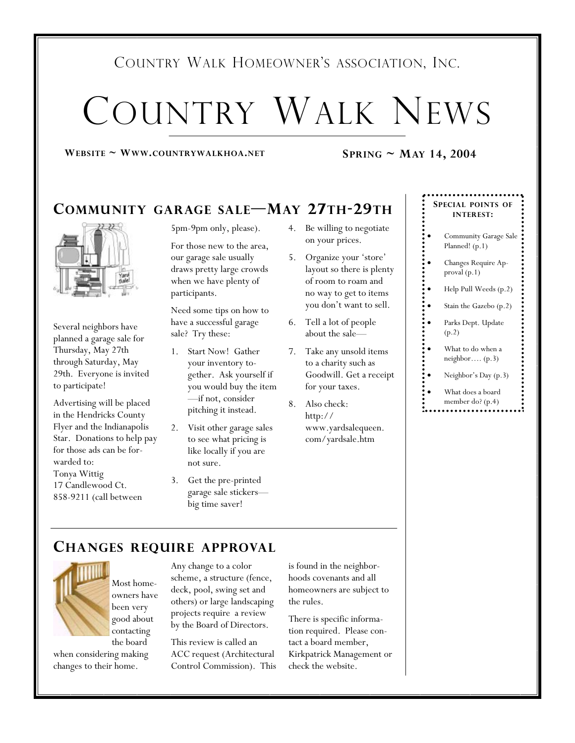# COUNTRY WALK HOMEOWNER'S ASSOCIATION, INC.

# COUNTRY WALK NEWS

#### **WEBSITE ~ WWW.COUNTRYWALKHOA.NET SPRING ~ MAY 14, 2004**

# **COMMUNITY GARAGE SALE—MAY 27TH-29TH**



Several neighbors have planned a garage sale for Thursday, May 27th through Saturday, May 29th. Everyone is invited to participate!

Advertising will be placed in the Hendricks County Flyer and the Indianapolis Star. Donations to help pay for those ads can be forwarded to: Tonya Wittig 17 Candlewood Ct. 858-9211 (call between

5pm-9pm only, please).

For those new to the area, our garage sale usually draws pretty large crowds when we have plenty of participants.

Need some tips on how to have a successful garage sale? Try these:

- 1. Start Now! Gather your inventory together. Ask yourself if you would buy the item —if not, consider pitching it instead.
- 2. Visit other garage sales to see what pricing is like locally if you are not sure.
- 3. Get the pre-printed garage sale stickers big time saver!
- 4. Be willing to negotiate on your prices.
- 5. Organize your 'store' layout so there is plenty of room to roam and no way to get to items you don't want to sell.
- 6. Tell a lot of people about the sale—
- 7. Take any unsold items to a charity such as Goodwill. Get a receipt for your taxes.
- 8. Also check: http:// www.yardsalequeen. com/yardsale.htm

#### **SPECIAL POINTS OF INTEREST:**

- Community Garage Sale Planned! (p.1)
- Changes Require Approval (p.1)
- Help Pull Weeds (p.2)
- Stain the Gazebo (p.2)
- Parks Dept. Update (p.2)
- What to do when a neighbor…. (p.3)
- Neighbor's Day (p.3)
- What does a board
- member do? (p.4)

#### **CHANGES REQUIRE APPROVAL**



Most homeowners have been very good about contacting the board

when considering making changes to their home.

Any change to a color scheme, a structure (fence, deck, pool, swing set and others) or large landscaping projects require a review by the Board of Directors.

This review is called an ACC request (Architectural Control Commission). This is found in the neighborhoods covenants and all homeowners are subject to the rules.

There is specific information required. Please contact a board member, Kirkpatrick Management or check the website.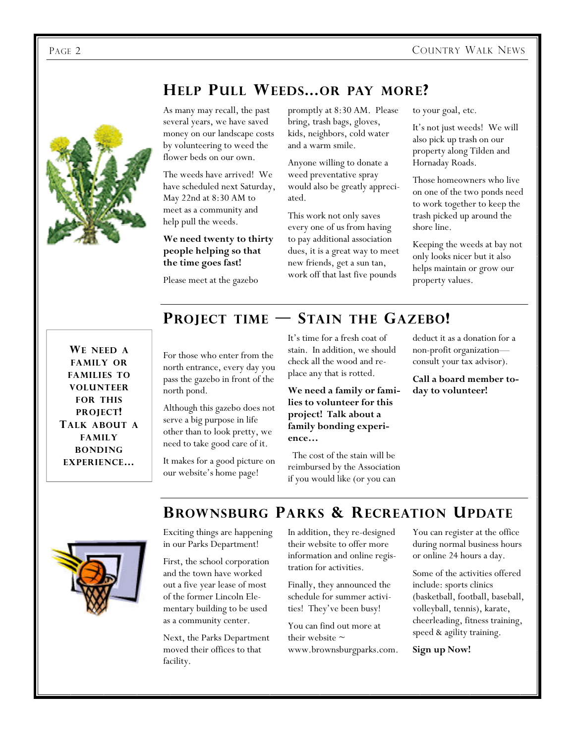# **HELP PULL WEEDS...OR PAY MORE?**



As many may recall, the past several years, we have saved money on our landscape costs by volunteering to weed the flower beds on our own.

The weeds have arrived! We have scheduled next Saturday, May 22nd at 8:30 AM to meet as a community and help pull the weeds.

#### **We need twenty to thirty people helping so that the time goes fast!**

Please meet at the gazebo

north pond.

promptly at 8:30 AM. Please bring, trash bags, gloves, kids, neighbors, cold water and a warm smile.

Anyone willing to donate a weed preventative spray would also be greatly appreciated.

This work not only saves every one of us from having to pay additional association dues, it is a great way to meet new friends, get a sun tan, work off that last five pounds

to your goal, etc.

It's not just weeds! We will also pick up trash on our property along Tilden and Hornaday Roads.

Those homeowners who live on one of the two ponds need to work together to keep the trash picked up around the shore line.

Keeping the weeds at bay not only looks nicer but it also helps maintain or grow our property values.

**WE NEED A FAMILY OR FAMILIES TO VOLUNTEER FOR THIS PROJECT! TALK ABOUT A FAMILY BONDING EXPERIENCE…**

# **PROJECT TIME — STAIN THE GAZEBO!**

It's time for a fresh coat of stain. In addition, we should check all the wood and replace any that is rotted. For those who enter from the north entrance, every day you pass the gazebo in front of the

> **We need a family or families to volunteer for this project! Talk about a family bonding experience…**

> The cost of the stain will be reimbursed by the Association if you would like (or you can

deduct it as a donation for a non-profit organization consult your tax advisor).

**Call a board member today to volunteer!** 

### **BROWNSBURG PARKS & RECREATION UPDATE**



Exciting things are happening in our Parks Department!

Although this gazebo does not serve a big purpose in life other than to look pretty, we need to take good care of it. It makes for a good picture on our website's home page!

First, the school corporation and the town have worked out a five year lease of most of the former Lincoln Elementary building to be used as a community center.

Next, the Parks Department moved their offices to that facility.

In addition, they re-designed their website to offer more information and online registration for activities.

Finally, they announced the schedule for summer activities! They've been busy!

You can find out more at their website  $\sim$ www.brownsburgparks.com. You can register at the office during normal business hours or online 24 hours a day.

Some of the activities offered include: sports clinics (basketball, football, baseball, volleyball, tennis), karate, cheerleading, fitness training, speed & agility training.

**Sign up Now!**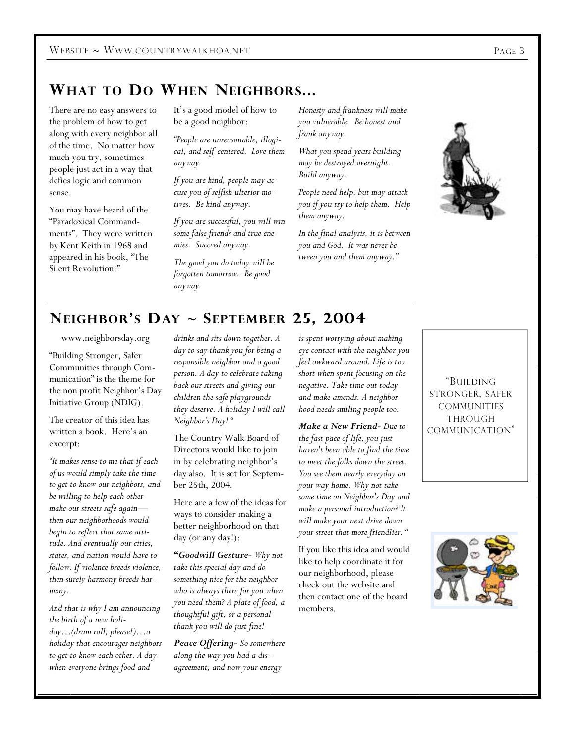# **WHAT TO DO WHEN NEIGHBORS...**

There are no easy answers to the problem of how to get along with every neighbor all of the time. No matter how much you try, sometimes people just act in a way that defies logic and common sense.

You may have heard of the "Paradoxical Commandments". They were written by Kent Keith in 1968 and appeared in his book, "The Silent Revolution."

It's a good model of how to be a good neighbor:

*"People are unreasonable, illogical, and self-centered. Love them anyway.* 

*If you are kind, people may accuse you of selfish ulterior motives. Be kind anyway.* 

*If you are successful, you will win some false friends and true enemies. Succeed anyway.* 

*The good you do today will be forgotten tomorrow. Be good anyway.* 

*Honesty and frankness will make you vulnerable. Be honest and frank anyway.* 

*What you spend years building may be destroyed overnight. Build anyway.* 

*People need help, but may attack you if you try to help them. Help them anyway.* 

*In the final analysis, it is between you and God. It was never between you and them anyway."*



## **NEIGHBOR'S DAY ~ SEPTEMBER 25, 2004**

www.neighborsday.org

"Building Stronger, Safer Communities through Communication" is the theme for the non profit Neighbor's Day Initiative Group (NDIG).

The creator of this idea has written a book. Here's an excerpt:

*"It makes sense to me that if each of us would simply take the time to get to know our neighbors, and be willing to help each other make our streets safe again then our neighborhoods would begin to reflect that same attitude. And eventually our cities, states, and nation would have to follow. If violence breeds violence, then surely harmony breeds harmony.* 

*And that is why I am announcing the birth of a new holiday…(drum roll, please!)…a holiday that encourages neighbors to get to know each other. A day when everyone brings food and* 

*drinks and sits down together. A day to say thank you for being a responsible neighbor and a good person. A day to celebrate taking back our streets and giving our children the safe playgrounds they deserve. A holiday I will call Neighbor's Day!* "

The Country Walk Board of Directors would like to join in by celebrating neighbor's day also. It is set for September 25th, 2004.

Here are a few of the ideas for ways to consider making a better neighborhood on that day (or any day!):

**"***Goodwill Gesture- Why not take this special day and do something nice for the neighbor who is always there for you when you need them? A plate of food, a thoughtful gift, or a personal thank you will do just fine!* 

*Peace Offering- So somewhere along the way you had a disagreement, and now your energy* 

*is spent worrying about making eye contact with the neighbor you feel awkward around. Life is too short when spent focusing on the negative. Take time out today and make amends. A neighborhood needs smiling people too.* 

*Make a New Friend- Due to the fast pace of life, you just haven't been able to find the time to meet the folks down the street. You see them nearly everyday on your way home. Why not take some time on Neighbor's Day and make a personal introduction? It will make your next drive down your street that more friendlier. "* 

If you like this idea and would like to help coordinate it for our neighborhood, please check out the website and then contact one of the board members.

"BUILDING STRONGER, SAFER **COMMUNITIES** THROUGH COMMUNICATION"